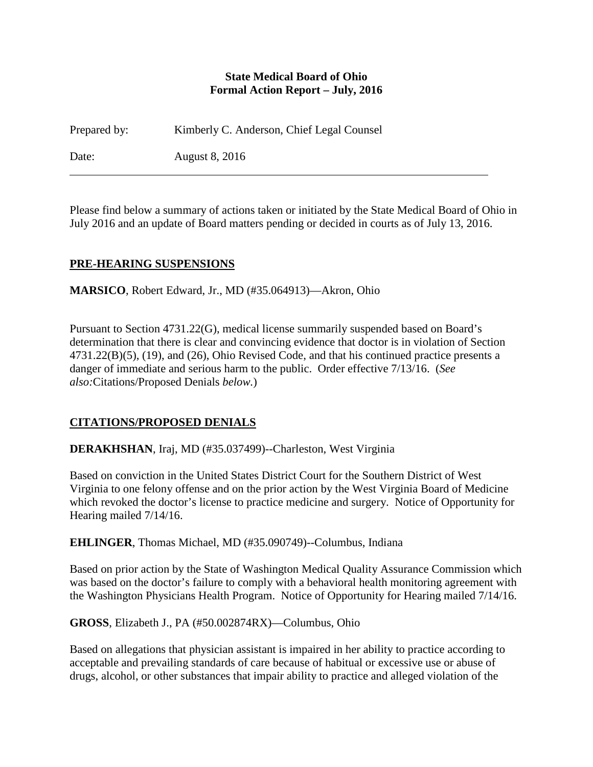#### **State Medical Board of Ohio Formal Action Report – July, 2016**

Prepared by: Kimberly C. Anderson, Chief Legal Counsel

Date: August 8, 2016

Please find below a summary of actions taken or initiated by the State Medical Board of Ohio in July 2016 and an update of Board matters pending or decided in courts as of July 13, 2016.

## **PRE-HEARING SUSPENSIONS**

**MARSICO**, Robert Edward, Jr., MD (#35.064913)—Akron, Ohio

Pursuant to Section 4731.22(G), medical license summarily suspended based on Board's determination that there is clear and convincing evidence that doctor is in violation of Section 4731.22(B)(5), (19), and (26), Ohio Revised Code, and that his continued practice presents a danger of immediate and serious harm to the public. Order effective 7/13/16. (*See also:*Citations/Proposed Denials *below.*)

# **CITATIONS/PROPOSED DENIALS**

**DERAKHSHAN**, Iraj, MD (#35.037499)--Charleston, West Virginia

Based on conviction in the United States District Court for the Southern District of West Virginia to one felony offense and on the prior action by the West Virginia Board of Medicine which revoked the doctor's license to practice medicine and surgery. Notice of Opportunity for Hearing mailed 7/14/16.

**EHLINGER**, Thomas Michael, MD (#35.090749)--Columbus, Indiana

Based on prior action by the State of Washington Medical Quality Assurance Commission which was based on the doctor's failure to comply with a behavioral health monitoring agreement with the Washington Physicians Health Program. Notice of Opportunity for Hearing mailed 7/14/16.

**GROSS**, Elizabeth J., PA (#50.002874RX)—Columbus, Ohio

Based on allegations that physician assistant is impaired in her ability to practice according to acceptable and prevailing standards of care because of habitual or excessive use or abuse of drugs, alcohol, or other substances that impair ability to practice and alleged violation of the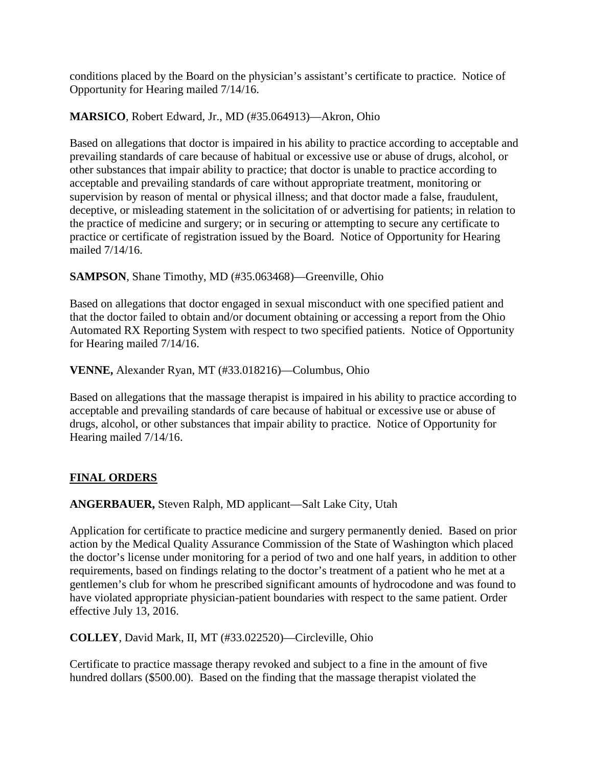conditions placed by the Board on the physician's assistant's certificate to practice. Notice of Opportunity for Hearing mailed 7/14/16.

## **MARSICO**, Robert Edward, Jr., MD (#35.064913)—Akron, Ohio

Based on allegations that doctor is impaired in his ability to practice according to acceptable and prevailing standards of care because of habitual or excessive use or abuse of drugs, alcohol, or other substances that impair ability to practice; that doctor is unable to practice according to acceptable and prevailing standards of care without appropriate treatment, monitoring or supervision by reason of mental or physical illness; and that doctor made a false, fraudulent, deceptive, or misleading statement in the solicitation of or advertising for patients; in relation to the practice of medicine and surgery; or in securing or attempting to secure any certificate to practice or certificate of registration issued by the Board. Notice of Opportunity for Hearing mailed 7/14/16.

**SAMPSON**, Shane Timothy, MD (#35.063468)—Greenville, Ohio

Based on allegations that doctor engaged in sexual misconduct with one specified patient and that the doctor failed to obtain and/or document obtaining or accessing a report from the Ohio Automated RX Reporting System with respect to two specified patients. Notice of Opportunity for Hearing mailed 7/14/16.

**VENNE,** Alexander Ryan, MT (#33.018216)—Columbus, Ohio

Based on allegations that the massage therapist is impaired in his ability to practice according to acceptable and prevailing standards of care because of habitual or excessive use or abuse of drugs, alcohol, or other substances that impair ability to practice. Notice of Opportunity for Hearing mailed 7/14/16.

### **FINAL ORDERS**

### **ANGERBAUER,** Steven Ralph, MD applicant—Salt Lake City, Utah

Application for certificate to practice medicine and surgery permanently denied. Based on prior action by the Medical Quality Assurance Commission of the State of Washington which placed the doctor's license under monitoring for a period of two and one half years, in addition to other requirements, based on findings relating to the doctor's treatment of a patient who he met at a gentlemen's club for whom he prescribed significant amounts of hydrocodone and was found to have violated appropriate physician-patient boundaries with respect to the same patient. Order effective July 13, 2016.

### **COLLEY**, David Mark, II, MT (#33.022520)—Circleville, Ohio

Certificate to practice massage therapy revoked and subject to a fine in the amount of five hundred dollars (\$500.00). Based on the finding that the massage therapist violated the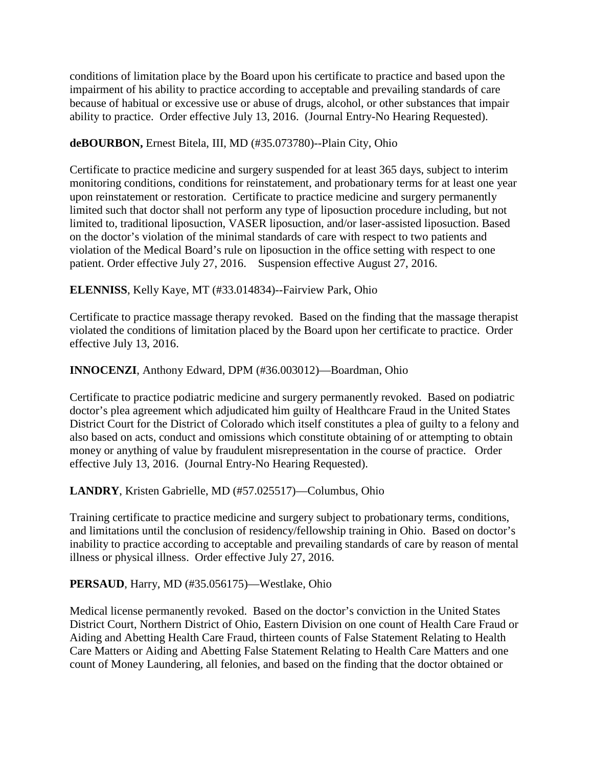conditions of limitation place by the Board upon his certificate to practice and based upon the impairment of his ability to practice according to acceptable and prevailing standards of care because of habitual or excessive use or abuse of drugs, alcohol, or other substances that impair ability to practice. Order effective July 13, 2016. (Journal Entry-No Hearing Requested).

### **deBOURBON,** Ernest Bitela, III, MD (#35.073780)--Plain City, Ohio

Certificate to practice medicine and surgery suspended for at least 365 days, subject to interim monitoring conditions, conditions for reinstatement, and probationary terms for at least one year upon reinstatement or restoration. Certificate to practice medicine and surgery permanently limited such that doctor shall not perform any type of liposuction procedure including, but not limited to, traditional liposuction, VASER liposuction, and/or laser-assisted liposuction. Based on the doctor's violation of the minimal standards of care with respect to two patients and violation of the Medical Board's rule on liposuction in the office setting with respect to one patient. Order effective July 27, 2016. Suspension effective August 27, 2016.

## **ELENNISS**, Kelly Kaye, MT (#33.014834)--Fairview Park, Ohio

Certificate to practice massage therapy revoked. Based on the finding that the massage therapist violated the conditions of limitation placed by the Board upon her certificate to practice. Order effective July 13, 2016.

### **INNOCENZI**, Anthony Edward, DPM (#36.003012)—Boardman, Ohio

Certificate to practice podiatric medicine and surgery permanently revoked. Based on podiatric doctor's plea agreement which adjudicated him guilty of Healthcare Fraud in the United States District Court for the District of Colorado which itself constitutes a plea of guilty to a felony and also based on acts, conduct and omissions which constitute obtaining of or attempting to obtain money or anything of value by fraudulent misrepresentation in the course of practice. Order effective July 13, 2016. (Journal Entry-No Hearing Requested).

### **LANDRY**, Kristen Gabrielle, MD (#57.025517)—Columbus, Ohio

Training certificate to practice medicine and surgery subject to probationary terms, conditions, and limitations until the conclusion of residency/fellowship training in Ohio. Based on doctor's inability to practice according to acceptable and prevailing standards of care by reason of mental illness or physical illness. Order effective July 27, 2016.

### **PERSAUD**, Harry, MD (#35.056175)—Westlake, Ohio

Medical license permanently revoked. Based on the doctor's conviction in the United States District Court, Northern District of Ohio, Eastern Division on one count of Health Care Fraud or Aiding and Abetting Health Care Fraud, thirteen counts of False Statement Relating to Health Care Matters or Aiding and Abetting False Statement Relating to Health Care Matters and one count of Money Laundering, all felonies, and based on the finding that the doctor obtained or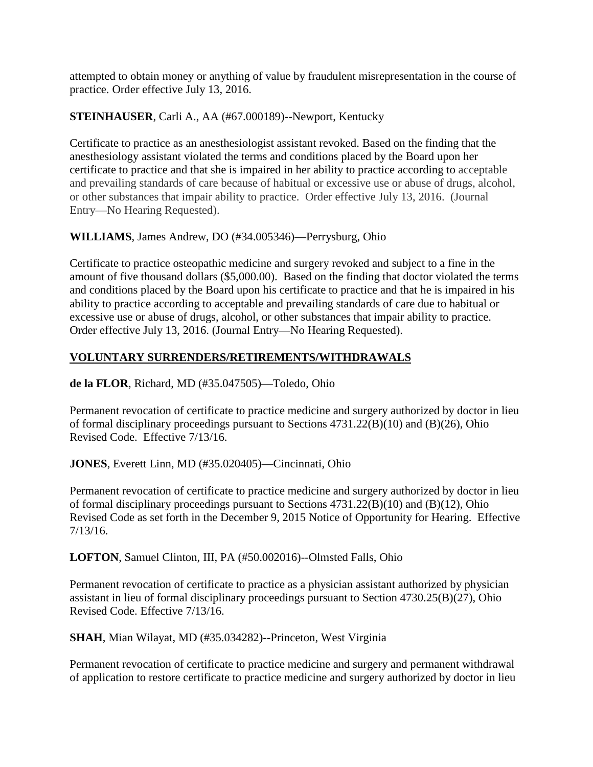attempted to obtain money or anything of value by fraudulent misrepresentation in the course of practice. Order effective July 13, 2016.

## **STEINHAUSER**, Carli A., AA (#67.000189)--Newport, Kentucky

Certificate to practice as an anesthesiologist assistant revoked. Based on the finding that the anesthesiology assistant violated the terms and conditions placed by the Board upon her certificate to practice and that she is impaired in her ability to practice according to acceptable and prevailing standards of care because of habitual or excessive use or abuse of drugs, alcohol, or other substances that impair ability to practice. Order effective July 13, 2016. (Journal Entry—No Hearing Requested).

**WILLIAMS**, James Andrew, DO (#34.005346)—Perrysburg, Ohio

Certificate to practice osteopathic medicine and surgery revoked and subject to a fine in the amount of five thousand dollars (\$5,000.00). Based on the finding that doctor violated the terms and conditions placed by the Board upon his certificate to practice and that he is impaired in his ability to practice according to acceptable and prevailing standards of care due to habitual or excessive use or abuse of drugs, alcohol, or other substances that impair ability to practice. Order effective July 13, 2016. (Journal Entry—No Hearing Requested).

# **VOLUNTARY SURRENDERS/RETIREMENTS/WITHDRAWALS**

**de la FLOR**, Richard, MD (#35.047505)—Toledo, Ohio

Permanent revocation of certificate to practice medicine and surgery authorized by doctor in lieu of formal disciplinary proceedings pursuant to Sections 4731.22(B)(10) and (B)(26), Ohio Revised Code. Effective 7/13/16.

**JONES**, Everett Linn, MD (#35.020405)—Cincinnati, Ohio

Permanent revocation of certificate to practice medicine and surgery authorized by doctor in lieu of formal disciplinary proceedings pursuant to Sections 4731.22(B)(10) and (B)(12), Ohio Revised Code as set forth in the December 9, 2015 Notice of Opportunity for Hearing. Effective 7/13/16.

**LOFTON**, Samuel Clinton, III, PA (#50.002016)--Olmsted Falls, Ohio

Permanent revocation of certificate to practice as a physician assistant authorized by physician assistant in lieu of formal disciplinary proceedings pursuant to Section 4730.25(B)(27), Ohio Revised Code. Effective 7/13/16.

**SHAH**, Mian Wilayat, MD (#35.034282)--Princeton, West Virginia

Permanent revocation of certificate to practice medicine and surgery and permanent withdrawal of application to restore certificate to practice medicine and surgery authorized by doctor in lieu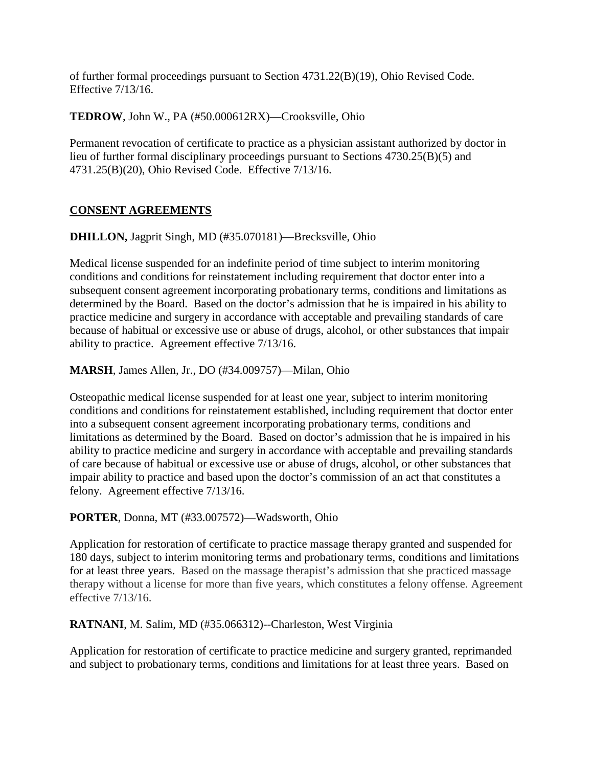of further formal proceedings pursuant to Section 4731.22(B)(19), Ohio Revised Code. Effective 7/13/16.

**TEDROW**, John W., PA (#50.000612RX)—Crooksville, Ohio

Permanent revocation of certificate to practice as a physician assistant authorized by doctor in lieu of further formal disciplinary proceedings pursuant to Sections 4730.25(B)(5) and 4731.25(B)(20), Ohio Revised Code. Effective 7/13/16.

## **CONSENT AGREEMENTS**

**DHILLON,** Jagprit Singh, MD (#35.070181)—Brecksville, Ohio

Medical license suspended for an indefinite period of time subject to interim monitoring conditions and conditions for reinstatement including requirement that doctor enter into a subsequent consent agreement incorporating probationary terms, conditions and limitations as determined by the Board. Based on the doctor's admission that he is impaired in his ability to practice medicine and surgery in accordance with acceptable and prevailing standards of care because of habitual or excessive use or abuse of drugs, alcohol, or other substances that impair ability to practice. Agreement effective 7/13/16.

**MARSH**, James Allen, Jr., DO (#34.009757)—Milan, Ohio

Osteopathic medical license suspended for at least one year, subject to interim monitoring conditions and conditions for reinstatement established, including requirement that doctor enter into a subsequent consent agreement incorporating probationary terms, conditions and limitations as determined by the Board. Based on doctor's admission that he is impaired in his ability to practice medicine and surgery in accordance with acceptable and prevailing standards of care because of habitual or excessive use or abuse of drugs, alcohol, or other substances that impair ability to practice and based upon the doctor's commission of an act that constitutes a felony. Agreement effective 7/13/16.

### **PORTER**, Donna, MT (#33.007572)—Wadsworth, Ohio

Application for restoration of certificate to practice massage therapy granted and suspended for 180 days, subject to interim monitoring terms and probationary terms, conditions and limitations for at least three years. Based on the massage therapist's admission that she practiced massage therapy without a license for more than five years, which constitutes a felony offense. Agreement effective 7/13/16.

**RATNANI**, M. Salim, MD (#35.066312)--Charleston, West Virginia

Application for restoration of certificate to practice medicine and surgery granted, reprimanded and subject to probationary terms, conditions and limitations for at least three years. Based on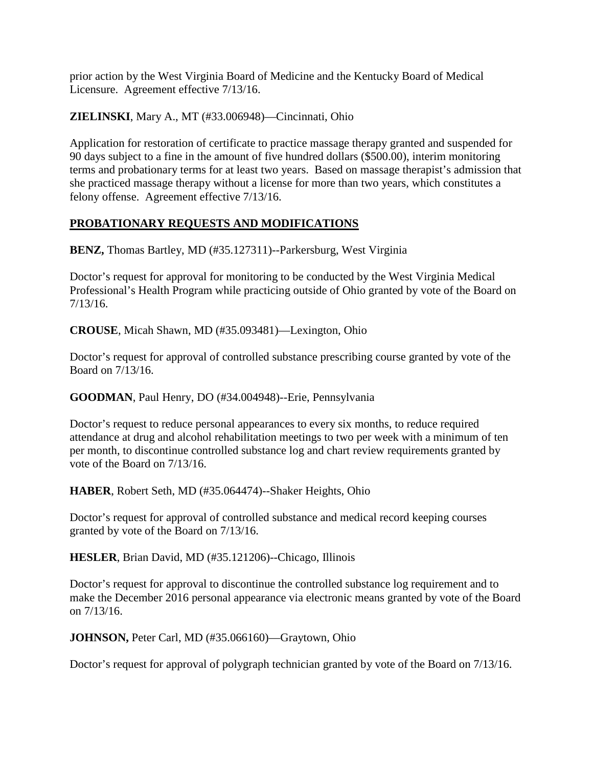prior action by the West Virginia Board of Medicine and the Kentucky Board of Medical Licensure. Agreement effective 7/13/16.

**ZIELINSKI**, Mary A., MT (#33.006948)—Cincinnati, Ohio

Application for restoration of certificate to practice massage therapy granted and suspended for 90 days subject to a fine in the amount of five hundred dollars (\$500.00), interim monitoring terms and probationary terms for at least two years. Based on massage therapist's admission that she practiced massage therapy without a license for more than two years, which constitutes a felony offense. Agreement effective 7/13/16.

## **PROBATIONARY REQUESTS AND MODIFICATIONS**

**BENZ,** Thomas Bartley, MD (#35.127311)--Parkersburg, West Virginia

Doctor's request for approval for monitoring to be conducted by the West Virginia Medical Professional's Health Program while practicing outside of Ohio granted by vote of the Board on 7/13/16.

**CROUSE**, Micah Shawn, MD (#35.093481)—Lexington, Ohio

Doctor's request for approval of controlled substance prescribing course granted by vote of the Board on 7/13/16.

**GOODMAN**, Paul Henry, DO (#34.004948)--Erie, Pennsylvania

Doctor's request to reduce personal appearances to every six months, to reduce required attendance at drug and alcohol rehabilitation meetings to two per week with a minimum of ten per month, to discontinue controlled substance log and chart review requirements granted by vote of the Board on 7/13/16.

**HABER**, Robert Seth, MD (#35.064474)--Shaker Heights, Ohio

Doctor's request for approval of controlled substance and medical record keeping courses granted by vote of the Board on 7/13/16.

**HESLER**, Brian David, MD (#35.121206)--Chicago, Illinois

Doctor's request for approval to discontinue the controlled substance log requirement and to make the December 2016 personal appearance via electronic means granted by vote of the Board on 7/13/16.

**JOHNSON,** Peter Carl, MD (#35.066160)—Graytown, Ohio

Doctor's request for approval of polygraph technician granted by vote of the Board on 7/13/16.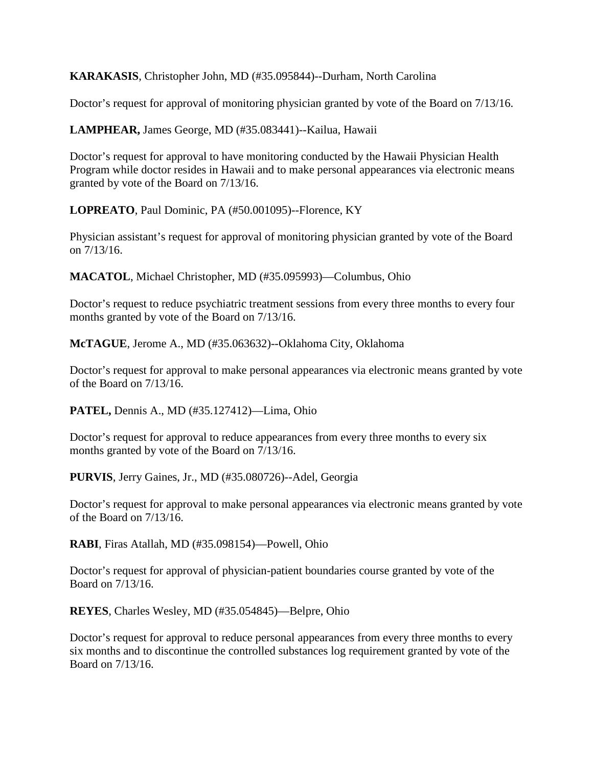**KARAKASIS**, Christopher John, MD (#35.095844)--Durham, North Carolina

Doctor's request for approval of monitoring physician granted by vote of the Board on 7/13/16.

**LAMPHEAR,** James George, MD (#35.083441)--Kailua, Hawaii

Doctor's request for approval to have monitoring conducted by the Hawaii Physician Health Program while doctor resides in Hawaii and to make personal appearances via electronic means granted by vote of the Board on 7/13/16.

**LOPREATO**, Paul Dominic, PA (#50.001095)--Florence, KY

Physician assistant's request for approval of monitoring physician granted by vote of the Board on 7/13/16.

**MACATOL**, Michael Christopher, MD (#35.095993)—Columbus, Ohio

Doctor's request to reduce psychiatric treatment sessions from every three months to every four months granted by vote of the Board on 7/13/16.

**McTAGUE**, Jerome A., MD (#35.063632)--Oklahoma City, Oklahoma

Doctor's request for approval to make personal appearances via electronic means granted by vote of the Board on 7/13/16.

**PATEL,** Dennis A., MD (#35.127412)—Lima, Ohio

Doctor's request for approval to reduce appearances from every three months to every six months granted by vote of the Board on 7/13/16.

**PURVIS**, Jerry Gaines, Jr., MD (#35.080726)--Adel, Georgia

Doctor's request for approval to make personal appearances via electronic means granted by vote of the Board on 7/13/16.

**RABI**, Firas Atallah, MD (#35.098154)—Powell, Ohio

Doctor's request for approval of physician-patient boundaries course granted by vote of the Board on 7/13/16.

**REYES**, Charles Wesley, MD (#35.054845)—Belpre, Ohio

Doctor's request for approval to reduce personal appearances from every three months to every six months and to discontinue the controlled substances log requirement granted by vote of the Board on 7/13/16.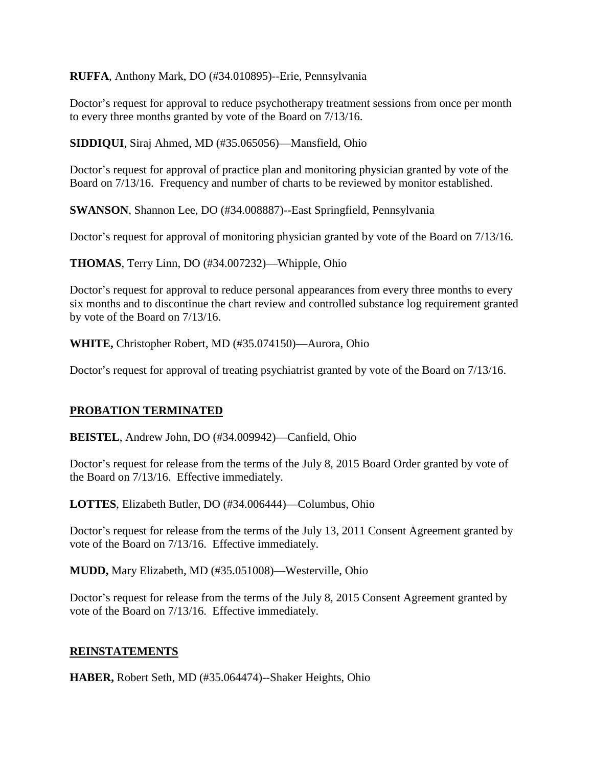**RUFFA**, Anthony Mark, DO (#34.010895)--Erie, Pennsylvania

Doctor's request for approval to reduce psychotherapy treatment sessions from once per month to every three months granted by vote of the Board on 7/13/16.

**SIDDIQUI**, Siraj Ahmed, MD (#35.065056)—Mansfield, Ohio

Doctor's request for approval of practice plan and monitoring physician granted by vote of the Board on 7/13/16. Frequency and number of charts to be reviewed by monitor established.

**SWANSON**, Shannon Lee, DO (#34.008887)--East Springfield, Pennsylvania

Doctor's request for approval of monitoring physician granted by vote of the Board on 7/13/16.

**THOMAS**, Terry Linn, DO (#34.007232)—Whipple, Ohio

Doctor's request for approval to reduce personal appearances from every three months to every six months and to discontinue the chart review and controlled substance log requirement granted by vote of the Board on 7/13/16.

**WHITE,** Christopher Robert, MD (#35.074150)—Aurora, Ohio

Doctor's request for approval of treating psychiatrist granted by vote of the Board on 7/13/16.

### **PROBATION TERMINATED**

**BEISTEL**, Andrew John, DO (#34.009942)—Canfield, Ohio

Doctor's request for release from the terms of the July 8, 2015 Board Order granted by vote of the Board on 7/13/16. Effective immediately.

**LOTTES**, Elizabeth Butler, DO (#34.006444)—Columbus, Ohio

Doctor's request for release from the terms of the July 13, 2011 Consent Agreement granted by vote of the Board on 7/13/16. Effective immediately.

**MUDD,** Mary Elizabeth, MD (#35.051008)—Westerville, Ohio

Doctor's request for release from the terms of the July 8, 2015 Consent Agreement granted by vote of the Board on 7/13/16. Effective immediately.

### **REINSTATEMENTS**

**HABER,** Robert Seth, MD (#35.064474)--Shaker Heights, Ohio